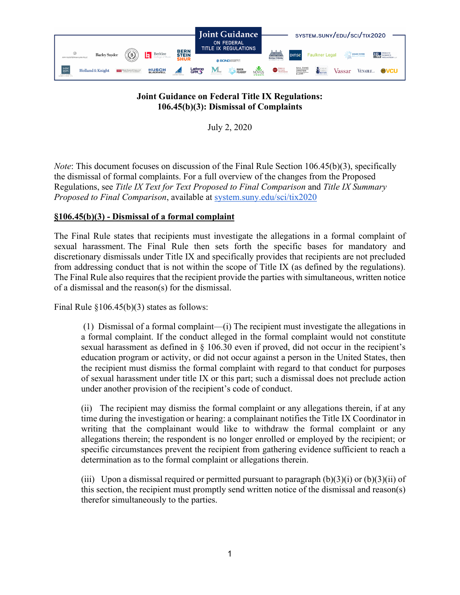

#### **Joint Guidance on Federal Title IX Regulations: 106.45(b)(3): Dismissal of Complaints**

July 2, 2020

*Note*: This document focuses on discussion of the Final Rule Section 106.45(b)(3), specifically the dismissal of formal complaints. For a full overview of the changes from the Proposed Regulations, see *Title IX Text for Text Proposed to Final Comparison* and *Title IX Summary Proposed to Final Comparison*, available at [system.suny.edu/sci/tix2020](https://system.suny.edu/sci/tix2020/)

## **§106.45(b)(3) - Dismissal of a formal complaint**

The Final Rule states that recipients must investigate the allegations in a formal complaint of sexual harassment. The Final Rule then sets forth the specific bases for mandatory and discretionary dismissals under Title IX and specifically provides that recipients are not precluded from addressing conduct that is not within the scope of Title IX (as defined by the regulations). The Final Rule also requires that the recipient provide the parties with simultaneous, written notice of a dismissal and the reason(s) for the dismissal.

Final Rule  $$106.45(b)(3)$  states as follows:

(1) Dismissal of a formal complaint—(i) The recipient must investigate the allegations in a formal complaint. If the conduct alleged in the formal complaint would not constitute sexual harassment as defined in § 106.30 even if proved, did not occur in the recipient's education program or activity, or did not occur against a person in the United States, then the recipient must dismiss the formal complaint with regard to that conduct for purposes of sexual harassment under title IX or this part; such a dismissal does not preclude action under another provision of the recipient's code of conduct.

(ii) The recipient may dismiss the formal complaint or any allegations therein, if at any time during the investigation or hearing: a complainant notifies the Title IX Coordinator in writing that the complainant would like to withdraw the formal complaint or any allegations therein; the respondent is no longer enrolled or employed by the recipient; or specific circumstances prevent the recipient from gathering evidence sufficient to reach a determination as to the formal complaint or allegations therein.

(iii) Upon a dismissal required or permitted pursuant to paragraph  $(b)(3)(i)$  or  $(b)(3)(ii)$  of this section, the recipient must promptly send written notice of the dismissal and reason(s) therefor simultaneously to the parties.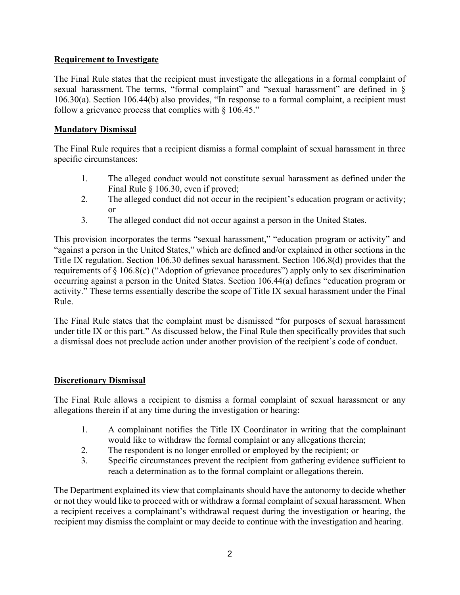### **Requirement to Investigate**

The Final Rule states that the recipient must investigate the allegations in a formal complaint of sexual harassment. The terms, "formal complaint" and "sexual harassment" are defined in § 106.30(a). Section 106.44(b) also provides, "In response to a formal complaint, a recipient must follow a grievance process that complies with  $\S$  106.45."

#### **Mandatory Dismissal**

The Final Rule requires that a recipient dismiss a formal complaint of sexual harassment in three specific circumstances:

- 1. The alleged conduct would not constitute sexual harassment as defined under the Final Rule § 106.30, even if proved;
- 2. The alleged conduct did not occur in the recipient's education program or activity; or
- 3. The alleged conduct did not occur against a person in the United States.

This provision incorporates the terms "sexual harassment," "education program or activity" and "against a person in the United States," which are defined and/or explained in other sections in the Title IX regulation. Section 106.30 defines sexual harassment. Section 106.8(d) provides that the requirements of § 106.8(c) ("Adoption of grievance procedures") apply only to sex discrimination occurring against a person in the United States. Section 106.44(a) defines "education program or activity." These terms essentially describe the scope of Title IX sexual harassment under the Final Rule.

The Final Rule states that the complaint must be dismissed "for purposes of sexual harassment under title IX or this part." As discussed below, the Final Rule then specifically provides that such a dismissal does not preclude action under another provision of the recipient's code of conduct.

# **Discretionary Dismissal**

The Final Rule allows a recipient to dismiss a formal complaint of sexual harassment or any allegations therein if at any time during the investigation or hearing:

- 1. A complainant notifies the Title IX Coordinator in writing that the complainant would like to withdraw the formal complaint or any allegations therein;
- 2. The respondent is no longer enrolled or employed by the recipient; or
- 3. Specific circumstances prevent the recipient from gathering evidence sufficient to reach a determination as to the formal complaint or allegations therein.

The Department explained its view that complainants should have the autonomy to decide whether or not they would like to proceed with or withdraw a formal complaint of sexual harassment. When a recipient receives a complainant's withdrawal request during the investigation or hearing, the recipient may dismiss the complaint or may decide to continue with the investigation and hearing.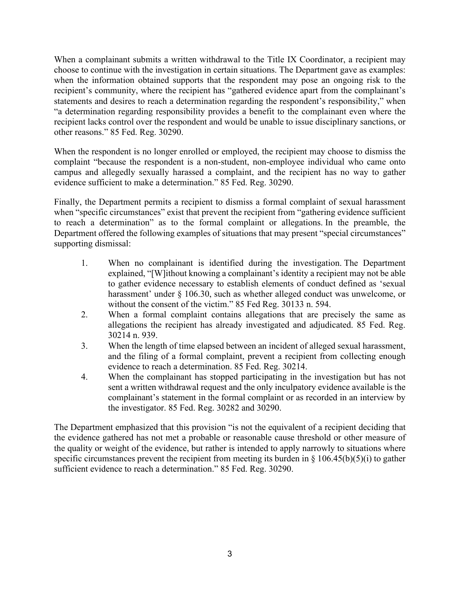When a complainant submits a written withdrawal to the Title IX Coordinator, a recipient may choose to continue with the investigation in certain situations. The Department gave as examples: when the information obtained supports that the respondent may pose an ongoing risk to the recipient's community, where the recipient has "gathered evidence apart from the complainant's statements and desires to reach a determination regarding the respondent's responsibility," when "a determination regarding responsibility provides a benefit to the complainant even where the recipient lacks control over the respondent and would be unable to issue disciplinary sanctions, or other reasons." 85 Fed. Reg. 30290.

When the respondent is no longer enrolled or employed, the recipient may choose to dismiss the complaint "because the respondent is a non-student, non-employee individual who came onto campus and allegedly sexually harassed a complaint, and the recipient has no way to gather evidence sufficient to make a determination." 85 Fed. Reg. 30290.

Finally, the Department permits a recipient to dismiss a formal complaint of sexual harassment when "specific circumstances" exist that prevent the recipient from "gathering evidence sufficient to reach a determination" as to the formal complaint or allegations. In the preamble, the Department offered the following examples of situations that may present "special circumstances" supporting dismissal:

- 1. When no complainant is identified during the investigation. The Department explained, "[W]ithout knowing a complainant's identity a recipient may not be able to gather evidence necessary to establish elements of conduct defined as 'sexual harassment' under § 106.30, such as whether alleged conduct was unwelcome, or without the consent of the victim." 85 Fed Reg. 30133 n. 594.
- 2. When a formal complaint contains allegations that are precisely the same as allegations the recipient has already investigated and adjudicated. 85 Fed. Reg. 30214 n. 939.
- 3. When the length of time elapsed between an incident of alleged sexual harassment, and the filing of a formal complaint, prevent a recipient from collecting enough evidence to reach a determination. 85 Fed. Reg. 30214.
- 4. When the complainant has stopped participating in the investigation but has not sent a written withdrawal request and the only inculpatory evidence available is the complainant's statement in the formal complaint or as recorded in an interview by the investigator. 85 Fed. Reg. 30282 and 30290.

The Department emphasized that this provision "is not the equivalent of a recipient deciding that the evidence gathered has not met a probable or reasonable cause threshold or other measure of the quality or weight of the evidence, but rather is intended to apply narrowly to situations where specific circumstances prevent the recipient from meeting its burden in  $\S$  106.45(b)(5)(i) to gather sufficient evidence to reach a determination." 85 Fed. Reg. 30290.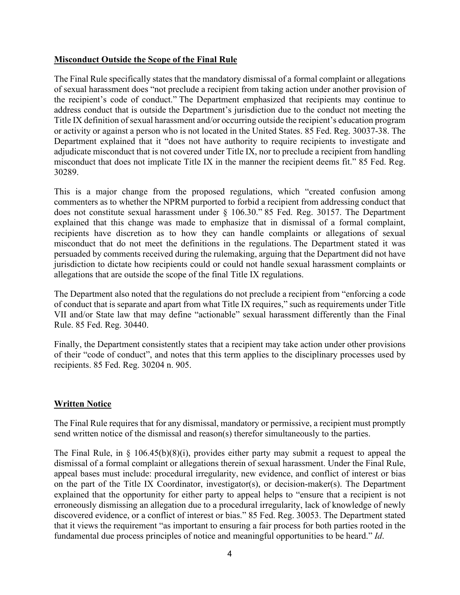#### **Misconduct Outside the Scope of the Final Rule**

The Final Rule specifically states that the mandatory dismissal of a formal complaint or allegations of sexual harassment does "not preclude a recipient from taking action under another provision of the recipient's code of conduct." The Department emphasized that recipients may continue to address conduct that is outside the Department's jurisdiction due to the conduct not meeting the Title IX definition of sexual harassment and/or occurring outside the recipient's education program or activity or against a person who is not located in the United States. 85 Fed. Reg. 30037-38. The Department explained that it "does not have authority to require recipients to investigate and adjudicate misconduct that is not covered under Title IX, nor to preclude a recipient from handling misconduct that does not implicate Title IX in the manner the recipient deems fit." 85 Fed. Reg. 30289.

This is a major change from the proposed regulations, which "created confusion among commenters as to whether the NPRM purported to forbid a recipient from addressing conduct that does not constitute sexual harassment under § 106.30." 85 Fed. Reg. 30157. The Department explained that this change was made to emphasize that in dismissal of a formal complaint, recipients have discretion as to how they can handle complaints or allegations of sexual misconduct that do not meet the definitions in the regulations. The Department stated it was persuaded by comments received during the rulemaking, arguing that the Department did not have jurisdiction to dictate how recipients could or could not handle sexual harassment complaints or allegations that are outside the scope of the final Title IX regulations.

The Department also noted that the regulations do not preclude a recipient from "enforcing a code of conduct that is separate and apart from what Title IX requires," such as requirements under Title VII and/or State law that may define "actionable" sexual harassment differently than the Final Rule. 85 Fed. Reg. 30440.

Finally, the Department consistently states that a recipient may take action under other provisions of their "code of conduct", and notes that this term applies to the disciplinary processes used by recipients. 85 Fed. Reg. 30204 n. 905.

#### **Written Notice**

The Final Rule requires that for any dismissal, mandatory or permissive, a recipient must promptly send written notice of the dismissal and reason(s) therefor simultaneously to the parties.

The Final Rule, in § 106.45(b)(8)(i), provides either party may submit a request to appeal the dismissal of a formal complaint or allegations therein of sexual harassment. Under the Final Rule, appeal bases must include: procedural irregularity, new evidence, and conflict of interest or bias on the part of the Title IX Coordinator, investigator(s), or decision-maker(s). The Department explained that the opportunity for either party to appeal helps to "ensure that a recipient is not erroneously dismissing an allegation due to a procedural irregularity, lack of knowledge of newly discovered evidence, or a conflict of interest or bias." 85 Fed. Reg. 30053. The Department stated that it views the requirement "as important to ensuring a fair process for both parties rooted in the fundamental due process principles of notice and meaningful opportunities to be heard." *Id*.